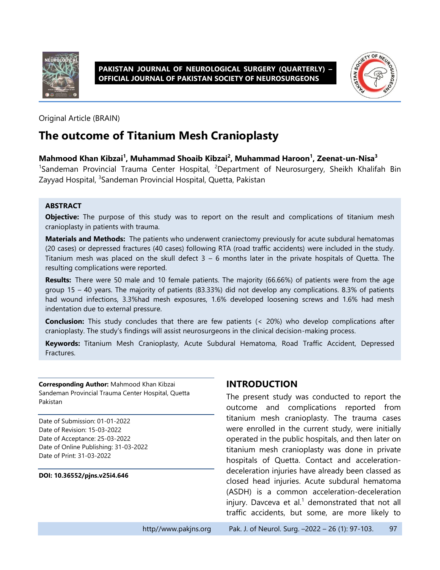

**PAKISTAN JOURNAL OF NEUROLOGICAL SURGERY (QUARTERLY) – OFFICIAL JOURNAL OF PAKISTAN SOCIETY OF NEUROSURGEONS**



Original Article (BRAIN)

# **The outcome of Titanium Mesh Cranioplasty**

#### **Mahmood Khan Kibzai<sup>1</sup> , Muhammad Shoaib Kibzai<sup>2</sup> , Muhammad Haroon<sup>1</sup> , Zeenat-un-Nisa<sup>3</sup>**

<sup>1</sup>Sandeman Provincial Trauma Center Hospital, <sup>2</sup>Department of Neurosurgery, Sheikh Khalifah Bin Zayyad Hospital, <sup>3</sup>Sandeman Provincial Hospital, Quetta, Pakistan

#### **ABSTRACT**

**Objective:** The purpose of this study was to report on the result and complications of titanium mesh cranioplasty in patients with trauma.

**Materials and Methods:** The patients who underwent craniectomy previously for acute subdural hematomas (20 cases) or depressed fractures (40 cases) following RTA (road traffic accidents) were included in the study. Titanium mesh was placed on the skull defect  $3 - 6$  months later in the private hospitals of Quetta. The resulting complications were reported.

**Results:** There were 50 male and 10 female patients. The majority (66.66%) of patients were from the age group 15 – 40 years. The majority of patients (83.33%) did not develop any complications. 8.3% of patients had wound infections, 3.3%had mesh exposures, 1.6% developed loosening screws and 1.6% had mesh indentation due to external pressure.

**Conclusion:** This study concludes that there are few patients (< 20%) who develop complications after cranioplasty. The study's findings will assist neurosurgeons in the clinical decision-making process.

**Keywords:** Titanium Mesh Cranioplasty, Acute Subdural Hematoma, Road Traffic Accident, Depressed Fractures.

**Corresponding Author:** Mahmood Khan Kibzai Sandeman Provincial Trauma Center Hospital, Quetta Pakistan

Date of Submission: 01-01-2022 Date of Revision: 15-03-2022 Date of Acceptance: 25-03-2022 Date of Online Publishing: 31-03-2022 Date of Print: 31-03-2022

#### **DOI: 10.36552/pjns.v25i4.646**

#### **INTRODUCTION**

The present study was conducted to report the outcome and complications reported from titanium mesh cranioplasty. The trauma cases were enrolled in the current study, were initially operated in the public hospitals, and then later on titanium mesh cranioplasty was done in private hospitals of Quetta. Contact and accelerationdeceleration injuries have already been classed as closed head injuries. Acute subdural hematoma (ASDH) is a common acceleration-deceleration injury. Davceva et al.<sup>1</sup> demonstrated that not all traffic accidents, but some, are more likely to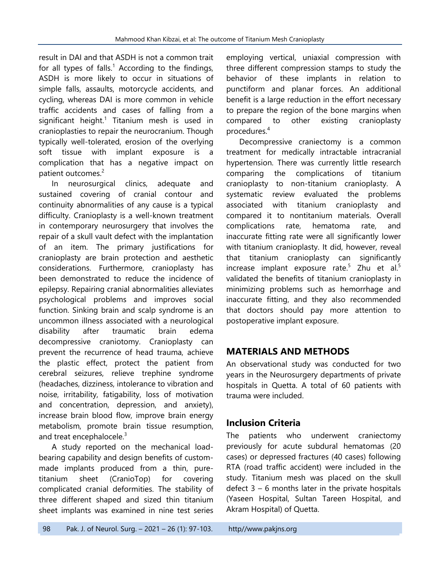result in DAI and that ASDH is not a common trait for all types of falls.<sup>1</sup> According to the findings, ASDH is more likely to occur in situations of simple falls, assaults, motorcycle accidents, and cycling, whereas DAI is more common in vehicle traffic accidents and cases of falling from a significant height.<sup>1</sup> Titanium mesh is used in cranioplasties to repair the neurocranium. Though typically well-tolerated, erosion of the overlying soft tissue with implant exposure is a complication that has a negative impact on patient outcomes. 2

In neurosurgical clinics, adequate and sustained covering of cranial contour and continuity abnormalities of any cause is a typical difficulty. Cranioplasty is a well-known treatment in contemporary neurosurgery that involves the repair of a skull vault defect with the implantation of an item. The primary justifications for cranioplasty are brain protection and aesthetic considerations. Furthermore, cranioplasty has been demonstrated to reduce the incidence of epilepsy. Repairing cranial abnormalities alleviates psychological problems and improves social function. Sinking brain and scalp syndrome is an uncommon illness associated with a neurological disability after traumatic brain edema decompressive craniotomy. Cranioplasty can prevent the recurrence of head trauma, achieve the plastic effect, protect the patient from cerebral seizures, relieve trephine syndrome (headaches, dizziness, intolerance to vibration and noise, irritability, fatigability, loss of motivation and concentration, depression, and anxiety), increase brain blood flow, improve brain energy metabolism, promote brain tissue resumption, and treat encephalocele.<sup>3</sup>

A study reported on the mechanical loadbearing capability and design benefits of custommade implants produced from a thin, puretitanium sheet (CranioTop) for covering complicated cranial deformities. The stability of three different shaped and sized thin titanium sheet implants was examined in nine test series employing vertical, uniaxial compression with three different compression stamps to study the behavior of these implants in relation to punctiform and planar forces. An additional benefit is a large reduction in the effort necessary to prepare the region of the bone margins when compared to other existing cranioplasty procedures. 4

Decompressive craniectomy is a common treatment for medically intractable intracranial hypertension. There was currently little research comparing the complications of titanium cranioplasty to non-titanium cranioplasty. A systematic review evaluated the problems associated with titanium cranioplasty and compared it to nontitanium materials. Overall complications rate, hematoma rate, and inaccurate fitting rate were all significantly lower with titanium cranioplasty. It did, however, reveal that titanium cranioplasty can significantly increase implant exposure rate.<sup>5</sup> Zhu et al.<sup>5</sup> validated the benefits of titanium cranioplasty in minimizing problems such as hemorrhage and inaccurate fitting, and they also recommended that doctors should pay more attention to postoperative implant exposure.

## **MATERIALS AND METHODS**

An observational study was conducted for two years in the Neurosurgery departments of private hospitals in Quetta. A total of 60 patients with trauma were included.

## **Inclusion Criteria**

The patients who underwent craniectomy previously for acute subdural hematomas (20 cases) or depressed fractures (40 cases) following RTA (road traffic accident) were included in the study. Titanium mesh was placed on the skull defect  $3 - 6$  months later in the private hospitals (Yaseen Hospital, Sultan Tareen Hospital, and Akram Hospital) of Quetta.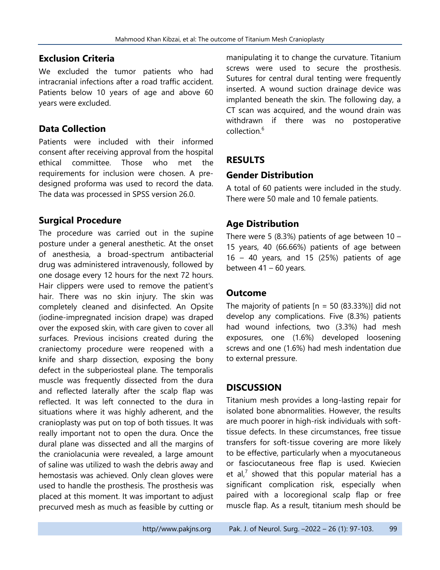#### **Exclusion Criteria**

We excluded the tumor patients who had intracranial infections after a road traffic accident. Patients below 10 years of age and above 60 years were excluded.

### **Data Collection**

Patients were included with their informed consent after receiving approval from the hospital ethical committee. Those who met the requirements for inclusion were chosen. A predesigned proforma was used to record the data. The data was processed in SPSS version 26.0.

### **Surgical Procedure**

The procedure was carried out in the supine posture under a general anesthetic. At the onset of anesthesia, a broad-spectrum antibacterial drug was administered intravenously, followed by one dosage every 12 hours for the next 72 hours. Hair clippers were used to remove the patient's hair. There was no skin injury. The skin was completely cleaned and disinfected. An Opsite (iodine-impregnated incision drape) was draped over the exposed skin, with care given to cover all surfaces. Previous incisions created during the craniectomy procedure were reopened with a knife and sharp dissection, exposing the bony defect in the subperiosteal plane. The temporalis muscle was frequently dissected from the dura and reflected laterally after the scalp flap was reflected. It was left connected to the dura in situations where it was highly adherent, and the cranioplasty was put on top of both tissues. It was really important not to open the dura. Once the dural plane was dissected and all the margins of the craniolacunia were revealed, a large amount of saline was utilized to wash the debris away and hemostasis was achieved. Only clean gloves were used to handle the prosthesis. The prosthesis was placed at this moment. It was important to adjust precurved mesh as much as feasible by cutting or

manipulating it to change the curvature. Titanium screws were used to secure the prosthesis. Sutures for central dural tenting were frequently inserted. A wound suction drainage device was implanted beneath the skin. The following day, a CT scan was acquired, and the wound drain was withdrawn if there was no postoperative collection. 6

## **RESULTS**

#### **Gender Distribution**

A total of 60 patients were included in the study. There were 50 male and 10 female patients.

### **Age Distribution**

There were 5 (8.3%) patients of age between  $10 -$ 15 years, 40 (66.66%) patients of age between  $16 - 40$  years, and 15 (25%) patients of age between 41 – 60 years.

### **Outcome**

The majority of patients  $[n = 50 (83.33\%)]$  did not develop any complications. Five (8.3%) patients had wound infections, two (3.3%) had mesh exposures, one (1.6%) developed loosening screws and one (1.6%) had mesh indentation due to external pressure.

### **DISCUSSION**

Titanium mesh provides a long-lasting repair for isolated bone abnormalities. However, the results are much poorer in high-risk individuals with softtissue defects. In these circumstances, free tissue transfers for soft-tissue covering are more likely to be effective, particularly when a myocutaneous or fasciocutaneous free flap is used. Kwiecien et al, $^7$  showed that this popular material has a significant complication risk, especially when paired with a locoregional scalp flap or free muscle flap. As a result, titanium mesh should be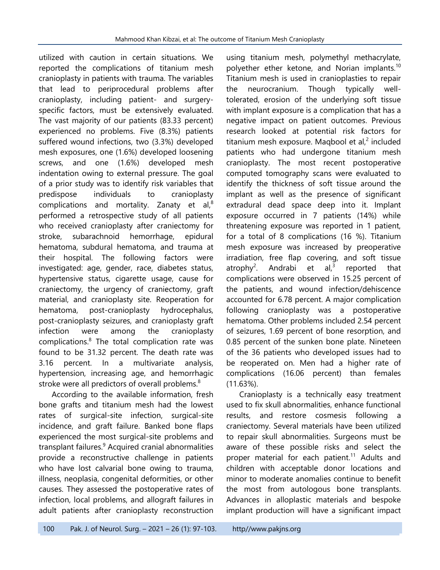utilized with caution in certain situations. We reported the complications of titanium mesh cranioplasty in patients with trauma. The variables that lead to periprocedural problems after cranioplasty, including patient- and surgeryspecific factors, must be extensively evaluated. The vast majority of our patients (83.33 percent) experienced no problems. Five (8.3%) patients suffered wound infections, two (3.3%) developed mesh exposures, one (1.6%) developed loosening screws, and one (1.6%) developed mesh indentation owing to external pressure. The goal of a prior study was to identify risk variables that predispose individuals to cranioplasty complications and mortality. Zanaty et al,<sup>8</sup> performed a retrospective study of all patients who received cranioplasty after craniectomy for stroke, subarachnoid hemorrhage, epidural hematoma, subdural hematoma, and trauma at their hospital. The following factors were investigated: age, gender, race, diabetes status, hypertensive status, cigarette usage, cause for craniectomy, the urgency of craniectomy, graft material, and cranioplasty site. Reoperation for hematoma, post-cranioplasty hydrocephalus, post-cranioplasty seizures, and cranioplasty graft infection were among the cranioplasty complications. 8 The total complication rate was found to be 31.32 percent. The death rate was 3.16 percent. In a multivariate analysis, hypertension, increasing age, and hemorrhagic stroke were all predictors of overall problems.<sup>8</sup>

According to the available information, fresh bone grafts and titanium mesh had the lowest rates of surgical-site infection, surgical-site incidence, and graft failure. Banked bone flaps experienced the most surgical-site problems and transplant failures. <sup>9</sup> Acquired cranial abnormalities provide a reconstructive challenge in patients who have lost calvarial bone owing to trauma, illness, neoplasia, congenital deformities, or other causes. They assessed the postoperative rates of infection, local problems, and allograft failures in adult patients after cranioplasty reconstruction

using titanium mesh, polymethyl methacrylate, polyether ether ketone, and Norian implants.<sup>10</sup> Titanium mesh is used in cranioplasties to repair the neurocranium. Though typically welltolerated, erosion of the underlying soft tissue with implant exposure is a complication that has a negative impact on patient outcomes. Previous research looked at potential risk factors for titanium mesh exposure. Maqbool et al,<sup>2</sup> included patients who had undergone titanium mesh cranioplasty. The most recent postoperative computed tomography scans were evaluated to identify the thickness of soft tissue around the implant as well as the presence of significant extradural dead space deep into it. Implant exposure occurred in 7 patients (14%) while threatening exposure was reported in 1 patient, for a total of 8 complications (16 %). Titanium mesh exposure was increased by preoperative irradiation, free flap covering, and soft tissue atrophy<sup>2</sup>. Andrabi et al,  $et$  al,<sup>3</sup> reported that complications were observed in 15.25 percent of the patients, and wound infection/dehiscence accounted for 6.78 percent. A major complication following cranioplasty was a postoperative hematoma. Other problems included 2.54 percent of seizures, 1.69 percent of bone resorption, and 0.85 percent of the sunken bone plate. Nineteen of the 36 patients who developed issues had to be reoperated on. Men had a higher rate of complications (16.06 percent) than females (11.63%).

Cranioplasty is a technically easy treatment used to fix skull abnormalities, enhance functional results, and restore cosmesis following a craniectomy. Several materials have been utilized to repair skull abnormalities. Surgeons must be aware of these possible risks and select the proper material for each patient.<sup>11</sup> Adults and children with acceptable donor locations and minor to moderate anomalies continue to benefit the most from autologous bone transplants. Advances in alloplastic materials and bespoke implant production will have a significant impact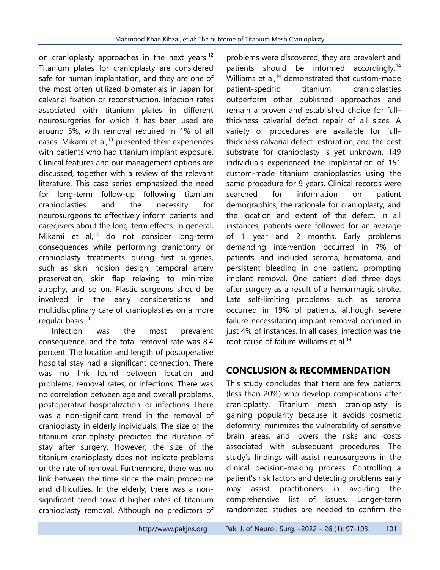on cranioplasty approaches in the next years.<sup>12</sup> Titanium plates for cranioplasty are considered safe for human implantation, and they are one of the most often utilized biomaterials in Japan for calvarial fixation or reconstruction. Infection rates associated with titanium plates in different neurosurgeries for which it has been used are around 5%, with removal required in 1% of all cases. Mikami et al, <sup>13</sup> presented their experiences with patients who had titanium implant exposure. Clinical features and our management options are discussed, together with a review of the relevant literature. This case series emphasized the need for long-term follow-up following titanium cranioplasties and the necessity for neurosurgeons to effectively inform patients and caregivers about the long-term effects. In general, Mikami et al,<sup>13</sup> do not consider long-term consequences while performing craniotomy or cranioplasty treatments during first surgeries, such as skin incision design, temporal artery preservation, skin flap relaxing to minimize atrophy, and so on. Plastic surgeons should be involved in the early considerations and multidisciplinary care of cranioplasties on a more regular basis.<sup>13</sup>

Infection was the most prevalent consequence, and the total removal rate was 8.4 percent. The location and length of postoperative hospital stay had a significant connection. There was no link found between location and problems, removal rates, or infections. There was no correlation between age and overall problems, postoperative hospitalization, or infections. There was a non-significant trend in the removal of cranioplasty in elderly individuals. The size of the titanium cranioplasty predicted the duration of stay after surgery. However, the size of the titanium cranioplasty does not indicate problems or the rate of removal. Furthermore, there was no link between the time since the main procedure and difficulties. In the elderly, there was a nonsignificant trend toward higher rates of titanium cranioplasty removal. Although no predictors of

problems were discovered, they are prevalent and patients should be informed accordingly.<sup>14</sup> Williams et al, <sup>14</sup> demonstrated that custom-made patient-specific titanium cranioplasties outperform other published approaches and remain a proven and established choice for fullthickness calvarial defect repair of all sizes. A variety of procedures are available for fullthickness calvarial defect restoration, and the best substrate for cranioplasty is yet unknown. 149 individuals experienced the implantation of 151 custom-made titanium cranioplasties using the same procedure for 9 years. Clinical records were searched for information on patient demographics, the rationale for cranioplasty, and the location and extent of the defect. In all instances, patients were followed for an average of 1 year and 2 months. Early problems demanding intervention occurred in 7% of patients, and included seroma, hematoma, and persistent bleeding in one patient, prompting implant removal. One patient died three days after surgery as a result of a hemorrhagic stroke. Late self-limiting problems such as seroma occurred in 19% of patients, although severe failure necessitating implant removal occurred in just 4% of instances. In all cases, infection was the root cause of failure Williams et al.<sup>14</sup>

## **CONCLUSION & RECOMMENDATION**

This study concludes that there are few patients (less than 20%) who develop complications after cranioplasty. Titanium mesh cranioplasty is gaining popularity because it avoids cosmetic deformity, minimizes the vulnerability of sensitive brain areas, and lowers the risks and costs associated with subsequent procedures. The study's findings will assist neurosurgeons in the clinical decision-making process. Controlling a patient's risk factors and detecting problems early may assist practitioners in avoiding the comprehensive list of issues. Longer-term randomized studies are needed to confirm the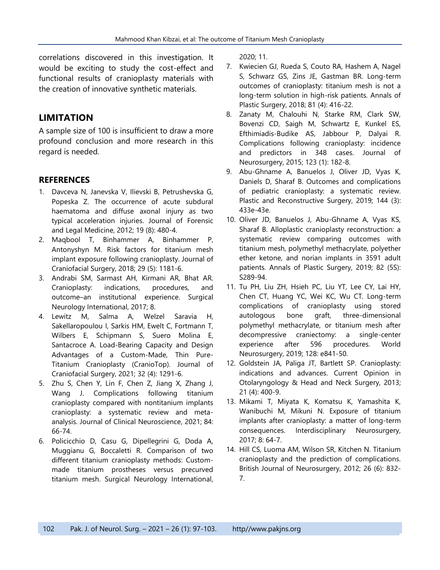correlations discovered in this investigation. It would be exciting to study the cost-effect and functional results of cranioplasty materials with the creation of innovative synthetic materials.

#### **LIMITATION**

A sample size of 100 is insufficient to draw a more profound conclusion and more research in this regard is needed.

#### **REFERENCES**

- 1. Davceva N, Janevska V, Ilievski B, Petrushevska G, Popeska Z. The occurrence of acute subdural haematoma and diffuse axonal injury as two typical acceleration injuries. Journal of Forensic and Legal Medicine, 2012; 19 (8): 480-4.
- 2. Maqbool T, Binhammer A, Binhammer P, Antonyshyn M. Risk factors for titanium mesh implant exposure following cranioplasty. Journal of Craniofacial Surgery, 2018; 29 (5): 1181-6.
- 3. Andrabi SM, Sarmast AH, Kirmani AR, Bhat AR. Cranioplasty: indications, procedures, and outcome–an institutional experience. Surgical Neurology International, 2017; 8.
- 4. Lewitz M, Salma A, Welzel Saravia H, Sakellaropoulou I, Sarkis HM, Ewelt C, Fortmann T, Wilbers E, Schipmann S, Suero Molina E, Santacroce A. Load-Bearing Capacity and Design Advantages of a Custom-Made, Thin Pure-Titanium Cranioplasty (CranioTop). Journal of Craniofacial Surgery, 2021; 32 (4): 1291-6.
- 5. Zhu S, Chen Y, Lin F, Chen Z, Jiang X, Zhang J, Wang J. Complications following titanium cranioplasty compared with nontitanium implants cranioplasty: a systematic review and metaanalysis. Journal of Clinical Neuroscience, 2021; 84: 66-74.
- 6. Policicchio D, Casu G, Dipellegrini G, Doda A, Muggianu G, Boccaletti R. Comparison of two different titanium cranioplasty methods: Custommade titanium prostheses versus precurved titanium mesh. Surgical Neurology International,

2020; 11.

- 7. Kwiecien GJ, Rueda S, Couto RA, Hashem A, Nagel S, Schwarz GS, Zins JE, Gastman BR. Long-term outcomes of cranioplasty: titanium mesh is not a long-term solution in high-risk patients. Annals of Plastic Surgery, 2018; 81 (4): 416-22.
- 8. Zanaty M, Chalouhi N, Starke RM, Clark SW, Bovenzi CD, Saigh M, Schwartz E, Kunkel ES, Efthimiadis-Budike AS, Jabbour P, Dalyai R. Complications following cranioplasty: incidence and predictors in 348 cases. Journal of Neurosurgery, 2015; 123 (1): 182-8.
- 9. Abu-Ghname A, Banuelos J, Oliver JD, Vyas K, Daniels D, Sharaf B. Outcomes and complications of pediatric cranioplasty: a systematic review. Plastic and Reconstructive Surgery, 2019; 144 (3): 433e-43e.
- 10. Oliver JD, Banuelos J, Abu-Ghname A, Vyas KS, Sharaf B. Alloplastic cranioplasty reconstruction: a systematic review comparing outcomes with titanium mesh, polymethyl methacrylate, polyether ether ketone, and norian implants in 3591 adult patients. Annals of Plastic Surgery, 2019; 82 (5S): S289-94.
- 11. Tu PH, Liu ZH, Hsieh PC, Liu YT, Lee CY, Lai HY, Chen CT, Huang YC, Wei KC, Wu CT. Long-term complications of cranioplasty using stored autologous bone graft, three-dimensional polymethyl methacrylate, or titanium mesh after decompressive craniectomy: a single-center experience after 596 procedures. World Neurosurgery, 2019; 128: e841-50.
- 12. Goldstein JA, Paliga JT, Bartlett SP. Cranioplasty: indications and advances. Current Opinion in Otolaryngology & Head and Neck Surgery, 2013; 21 (4): 400-9.
- 13. Mikami T, Miyata K, Komatsu K, Yamashita K, Wanibuchi M, Mikuni N. Exposure of titanium implants after cranioplasty: a matter of long-term consequences. Interdisciplinary Neurosurgery, 2017; 8: 64-7.
- 14. Hill CS, Luoma AM, Wilson SR, Kitchen N. Titanium cranioplasty and the prediction of complications. British Journal of Neurosurgery, 2012; 26 (6): 832- 7.